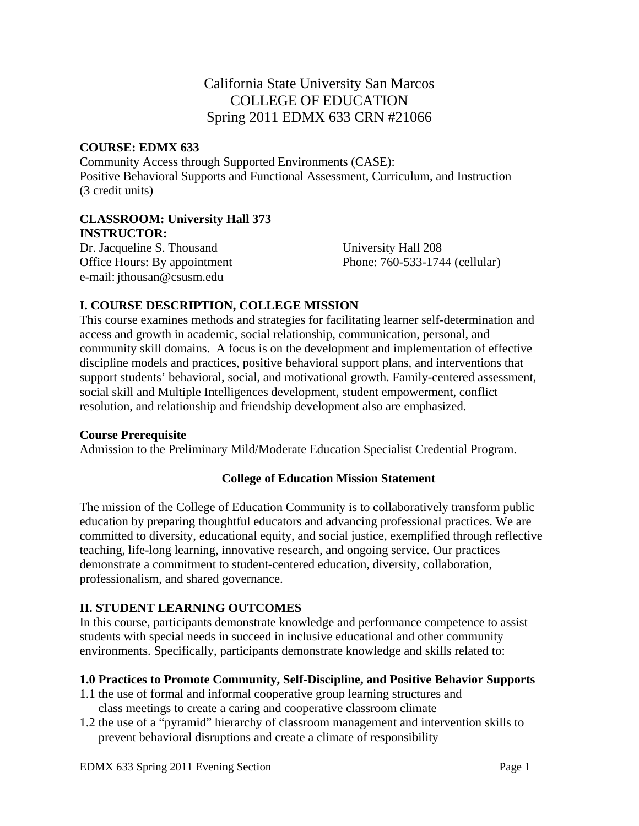# California State University San Marcos COLLEGE OF EDUCATION Spring 2011 EDMX 633 CRN #21066

#### **COURSE: EDMX 633**

Community Access through Supported Environments (CASE): Positive Behavioral Supports and Functional Assessment, Curriculum, and Instruction (3 credit units)

#### **CLASSROOM: University Hall 373 INSTRUCTOR:**

Office Hours: By appointment Dr. Jacqueline S. Thousand University Hall 208 e-mail: jthousan@csusm.edu

Phone: 760-533-1744 (cellular)

## **I. COURSE DESCRIPTION, COLLEGE MISSION**

This course examines methods and strategies for facilitating learner self-determination and access and growth in academic, social relationship, communication, personal, and community skill domains. A focus is on the development and implementation of effective discipline models and practices, positive behavioral support plans, and interventions that support students' behavioral, social, and motivational growth. Family-centered assessment, social skill and Multiple Intelligences development, student empowerment, conflict resolution, and relationship and friendship development also are emphasized.

#### **Course Prerequisite**

Admission to the Preliminary Mild/Moderate Education Specialist Credential Program.

### **College of Education Mission Statement**

The mission of the College of Education Community is to collaboratively transform public education by preparing thoughtful educators and advancing professional practices. We are committed to diversity, educational equity, and social justice, exemplified through reflective teaching, life-long learning, innovative research, and ongoing service. Our practices demonstrate a commitment to student-centered education, diversity, collaboration, professionalism, and shared governance.

### **II. STUDENT LEARNING OUTCOMES**

In this course, participants demonstrate knowledge and performance competence to assist students with special needs in succeed in inclusive educational and other community environments. Specifically, participants demonstrate knowledge and skills related to:

### **1.0 Practices to Promote Community, Self-Discipline, and Positive Behavior Supports**

- 1.1 the use of formal and informal cooperative group learning structures and class meetings to create a caring and cooperative classroom climate
- 1.2 the use of a "pyramid" hierarchy of classroom management and intervention skills to prevent behavioral disruptions and create a climate of responsibility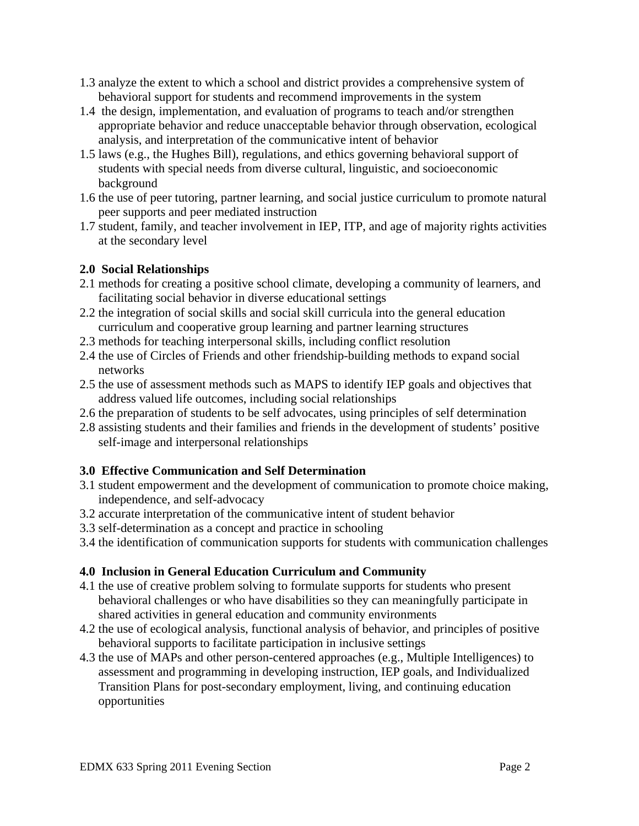- 1.3 analyze the extent to which a school and district provides a comprehensive system of behavioral support for students and recommend improvements in the system
- 1.4 the design, implementation, and evaluation of programs to teach and/or strengthen appropriate behavior and reduce unacceptable behavior through observation, ecological analysis, and interpretation of the communicative intent of behavior
- 1.5 laws (e.g., the Hughes Bill), regulations, and ethics governing behavioral support of students with special needs from diverse cultural, linguistic, and socioeconomic background
- 1.6 the use of peer tutoring, partner learning, and social justice curriculum to promote natural peer supports and peer mediated instruction
- 1.7 student, family, and teacher involvement in IEP, ITP, and age of majority rights activities at the secondary level

## **2.0 Social Relationships**

- 2.1 methods for creating a positive school climate, developing a community of learners, and facilitating social behavior in diverse educational settings
- 2.2 the integration of social skills and social skill curricula into the general education curriculum and cooperative group learning and partner learning structures
- 2.3 methods for teaching interpersonal skills, including conflict resolution
- 2.4 the use of Circles of Friends and other friendship-building methods to expand social networks
- 2.5 the use of assessment methods such as MAPS to identify IEP goals and objectives that address valued life outcomes, including social relationships
- 2.6 the preparation of students to be self advocates, using principles of self determination
- 2.8 assisting students and their families and friends in the development of students' positive self-image and interpersonal relationships

## **3.0 Effective Communication and Self Determination**

- 3.1 student empowerment and the development of communication to promote choice making, independence, and self-advocacy
- 3.2 accurate interpretation of the communicative intent of student behavior
- 3.3 self-determination as a concept and practice in schooling
- 3.4 the identification of communication supports for students with communication challenges

## **4.0 Inclusion in General Education Curriculum and Community**

- 4.1 the use of creative problem solving to formulate supports for students who present behavioral challenges or who have disabilities so they can meaningfully participate in shared activities in general education and community environments
- 4.2 the use of ecological analysis, functional analysis of behavior, and principles of positive behavioral supports to facilitate participation in inclusive settings
- 4.3 the use of MAPs and other person-centered approaches (e.g., Multiple Intelligences) to assessment and programming in developing instruction, IEP goals, and Individualized Transition Plans for post-secondary employment, living, and continuing education opportunities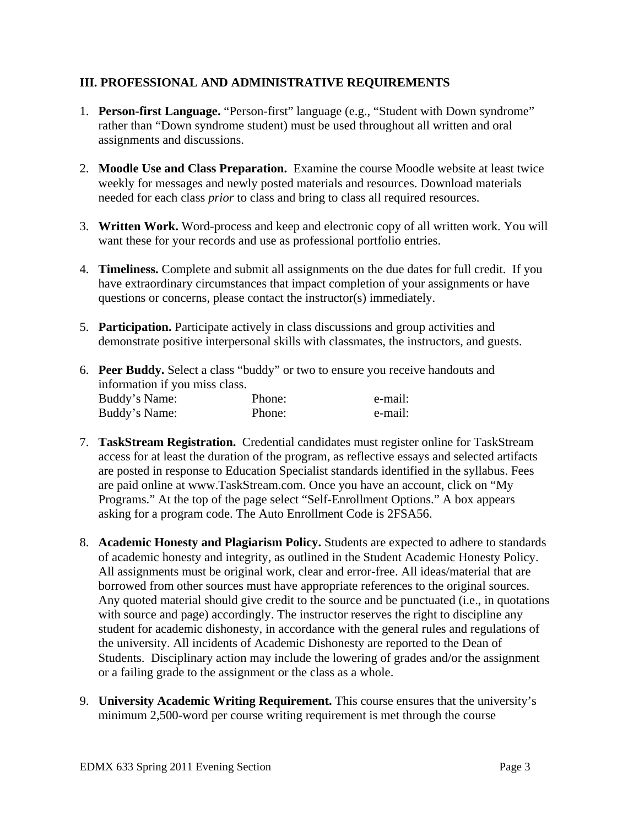### **III. PROFESSIONAL AND ADMINISTRATIVE REQUIREMENTS**

- 1. **Person-first Language.** "Person-first" language (e.g., "Student with Down syndrome" rather than "Down syndrome student) must be used throughout all written and oral assignments and discussions.
- 2. **Moodle Use and Class Preparation.** Examine the course Moodle website at least twice weekly for messages and newly posted materials and resources. Download materials needed for each class *prior* to class and bring to class all required resources.
- 3. **Written Work.** Word-process and keep and electronic copy of all written work. You will want these for your records and use as professional portfolio entries.
- 4. **Timeliness.** Complete and submit all assignments on the due dates for full credit. If you have extraordinary circumstances that impact completion of your assignments or have questions or concerns, please contact the instructor(s) immediately.
- 5. **Participation.** Participate actively in class discussions and group activities and demonstrate positive interpersonal skills with classmates, the instructors, and guests.
- Buddy's Name: Phone: e-mail: 6. **Peer Buddy.** Select a class "buddy" or two to ensure you receive handouts and information if you miss class. Buddy's Name: Phone: e-mail:
- 7. **TaskStream Registration.** Credential candidates must register online for TaskStream access for at least the duration of the program, as reflective essays and selected artifacts are posted in response to Education Specialist standards identified in the syllabus. Fees are paid online at www.TaskStream.com. Once you have an account, click on "My Programs." At the top of the page select "Self-Enrollment Options." A box appears asking for a program code. The Auto Enrollment Code is 2FSA56.
- 8. **Academic Honesty and Plagiarism Policy.** Students are expected to adhere to standards of academic honesty and integrity, as outlined in the Student Academic Honesty Policy. All assignments must be original work, clear and error-free. All ideas/material that are borrowed from other sources must have appropriate references to the original sources. Any quoted material should give credit to the source and be punctuated (i.e., in quotations with source and page) accordingly. The instructor reserves the right to discipline any student for academic dishonesty, in accordance with the general rules and regulations of the university. All incidents of Academic Dishonesty are reported to the Dean of Students. Disciplinary action may include the lowering of grades and/or the assignment or a failing grade to the assignment or the class as a whole.
- 9. **University Academic Writing Requirement.** This course ensures that the university's minimum 2,500-word per course writing requirement is met through the course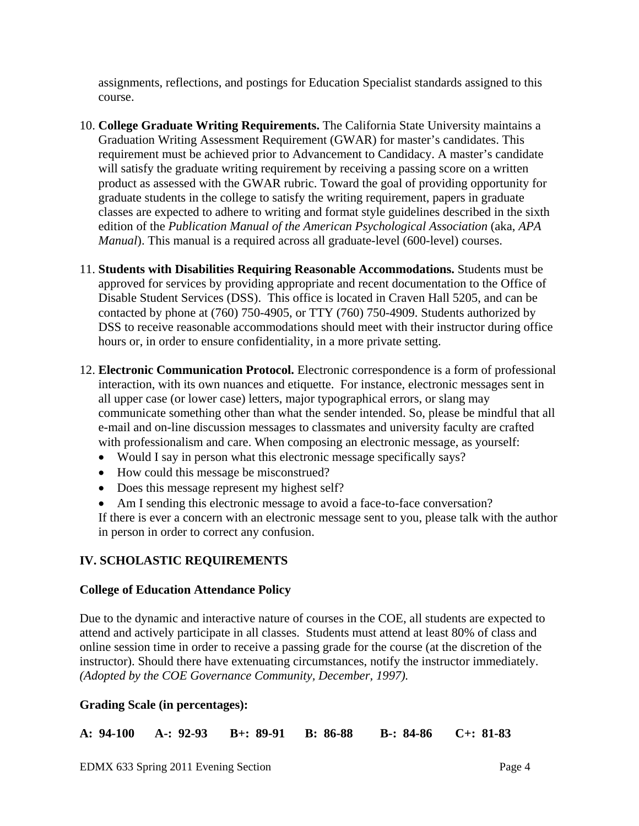assignments, reflections, and postings for Education Specialist standards assigned to this course.

- 10. **College Graduate Writing Requirements.** The California State University maintains a Graduation Writing Assessment Requirement (GWAR) for master's candidates. This requirement must be achieved prior to Advancement to Candidacy. A master's candidate will satisfy the graduate writing requirement by receiving a passing score on a written product as assessed with the GWAR rubric. Toward the goal of providing opportunity for graduate students in the college to satisfy the writing requirement, papers in graduate classes are expected to adhere to writing and format style guidelines described in the sixth edition of the *Publication Manual of the American Psychological Association* (aka, *APA Manual*). This manual is a required across all graduate-level (600-level) courses.
- 11. **Students with Disabilities Requiring Reasonable Accommodations.** Students must be approved for services by providing appropriate and recent documentation to the Office of Disable Student Services (DSS). This office is located in Craven Hall 5205, and can be contacted by phone at (760) 750-4905, or TTY (760) 750-4909. Students authorized by DSS to receive reasonable accommodations should meet with their instructor during office hours or, in order to ensure confidentiality, in a more private setting.
- 12. **Electronic Communication Protocol.** Electronic correspondence is a form of professional interaction, with its own nuances and etiquette. For instance, electronic messages sent in all upper case (or lower case) letters, major typographical errors, or slang may communicate something other than what the sender intended. So, please be mindful that all e-mail and on-line discussion messages to classmates and university faculty are crafted with professionalism and care. When composing an electronic message, as yourself:
	- Would I say in person what this electronic message specifically says?
	- How could this message be misconstrued?
	- Does this message represent my highest self?
	- Am I sending this electronic message to avoid a face-to-face conversation? If there is ever a concern with an electronic message sent to you, please talk with the author in person in order to correct any confusion.

### **IV. SCHOLASTIC REQUIREMENTS**

#### **College of Education Attendance Policy**

 *(Adopted by the COE Governance Community, December, 1997).* Due to the dynamic and interactive nature of courses in the COE, all students are expected to attend and actively participate in all classes. Students must attend at least 80% of class and online session time in order to receive a passing grade for the course (at the discretion of the instructor). Should there have extenuating circumstances, notify the instructor immediately.

### **Grading Scale (in percentages):**

**A: 94-100 A-: 92-93 B+: 89-91 B: 86-88 B-: 84-86 C+: 81-83**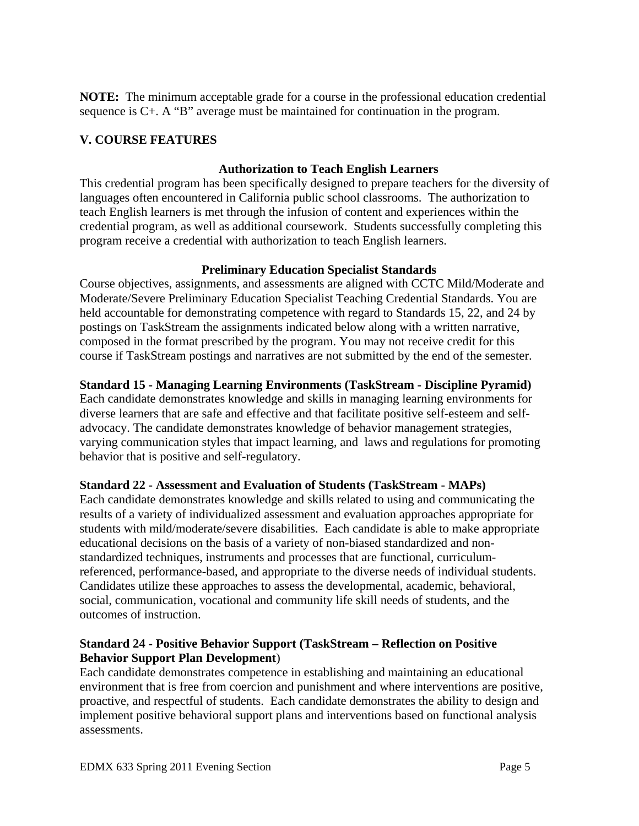**NOTE:** The minimum acceptable grade for a course in the professional education credential sequence is C+. A "B" average must be maintained for continuation in the program.

## **V. COURSE FEATURES**

### **Authorization to Teach English Learners**

This credential program has been specifically designed to prepare teachers for the diversity of languages often encountered in California public school classrooms. The authorization to teach English learners is met through the infusion of content and experiences within the credential program, as well as additional coursework. Students successfully completing this program receive a credential with authorization to teach English learners.

## **Preliminary Education Specialist Standards**

Course objectives, assignments, and assessments are aligned with CCTC Mild/Moderate and Moderate/Severe Preliminary Education Specialist Teaching Credential Standards. You are held accountable for demonstrating competence with regard to Standards 15, 22, and 24 by postings on TaskStream the assignments indicated below along with a written narrative, composed in the format prescribed by the program. You may not receive credit for this course if TaskStream postings and narratives are not submitted by the end of the semester.

## **Standard 15 - Managing Learning Environments (TaskStream - Discipline Pyramid)**

Each candidate demonstrates knowledge and skills in managing learning environments for diverse learners that are safe and effective and that facilitate positive self-esteem and selfadvocacy. The candidate demonstrates knowledge of behavior management strategies, varying communication styles that impact learning, and laws and regulations for promoting behavior that is positive and self-regulatory.

## **Standard 22 - Assessment and Evaluation of Students (TaskStream - MAPs)**

Each candidate demonstrates knowledge and skills related to using and communicating the results of a variety of individualized assessment and evaluation approaches appropriate for students with mild/moderate/severe disabilities. Each candidate is able to make appropriate educational decisions on the basis of a variety of non-biased standardized and nonstandardized techniques, instruments and processes that are functional, curriculumreferenced, performance-based, and appropriate to the diverse needs of individual students. Candidates utilize these approaches to assess the developmental, academic, behavioral, social, communication, vocational and community life skill needs of students, and the outcomes of instruction.

### **Standard 24 - Positive Behavior Support (TaskStream – Reflection on Positive Behavior Support Plan Development**)

Each candidate demonstrates competence in establishing and maintaining an educational environment that is free from coercion and punishment and where interventions are positive, proactive, and respectful of students. Each candidate demonstrates the ability to design and implement positive behavioral support plans and interventions based on functional analysis assessments.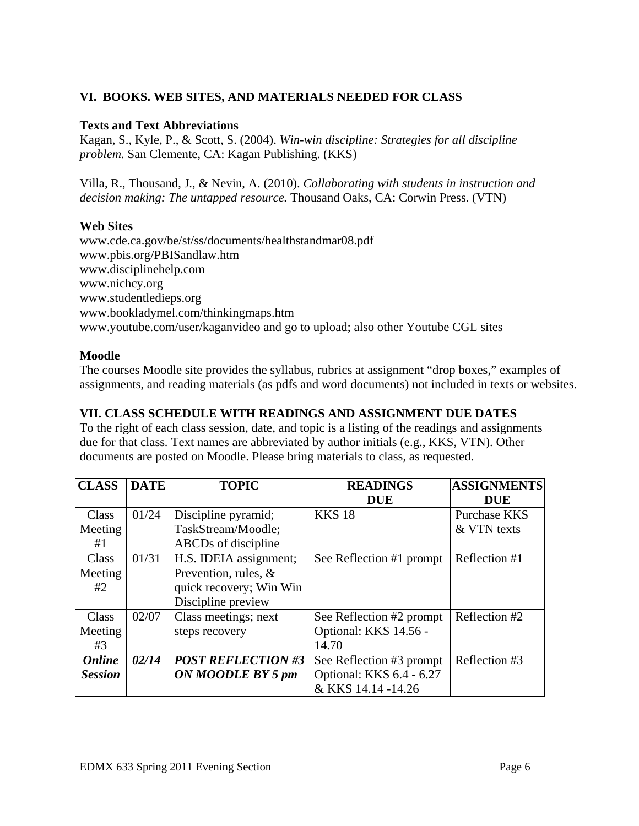## **VI. BOOKS. WEB SITES, AND MATERIALS NEEDED FOR CLASS**

#### **Texts and Text Abbreviations**

problem. San Clemente, CA: Kagan Publishing. (KKS) Kagan, S., Kyle, P., & Scott, S. (2004). *Win-win discipline: Strategies for all discipline* 

*Pilla, R., Thousand, J., & Nevin, A. (2010). Collaborating with students in instruction and decision making: The untapped resource.* Thousand Oaks, CA: Corwin Press. (VTN)

#### **Web Sites**

 www.pbis.org/PBISandlaw.htm www.disciplinehelp.com www.nichcy.org www.disciplinehelp.com www.cde.ca.gov/be/st/ss/documents/healthstandmar08.pdf www.studentledieps.org www.bookladymel.com/thinkingmaps.htm www.youtube.com/user/kaganvideo and go to upload; also other Youtube CGL sites

### **Moodle**

The courses Moodle site provides the syllabus, rubrics at assignment "drop boxes," examples of assignments, and reading materials (as pdfs and word documents) not included in texts or websites.

### **VII. CLASS SCHEDULE WITH READINGS AND ASSIGNMENT DUE DATES**

To the right of each class session, date, and topic is a listing of the readings and assignments due for that class*.* Text names are abbreviated by author initials (e.g., KKS, VTN). Other documents are posted on Moodle. Please bring materials to class, as requested.

| <b>CLASS</b>   | <b>DATE</b> | <b>TOPIC</b>              | <b>READINGS</b>          | <b>ASSIGNMENTS</b> |
|----------------|-------------|---------------------------|--------------------------|--------------------|
|                |             |                           | <b>DUE</b>               | <b>DUE</b>         |
| <b>Class</b>   | 01/24       | Discipline pyramid;       | <b>KKS 18</b>            | Purchase KKS       |
| Meeting        |             | TaskStream/Moodle;        |                          | & VTN texts        |
| #1             |             | ABCDs of discipline       |                          |                    |
| Class          | 01/31       | H.S. IDEIA assignment;    | See Reflection #1 prompt | Reflection #1      |
| Meeting        |             | Prevention, rules, $\&$   |                          |                    |
| #2             |             | quick recovery; Win Win   |                          |                    |
|                |             | Discipline preview        |                          |                    |
| Class          | 02/07       | Class meetings; next      | See Reflection #2 prompt | Reflection #2      |
| Meeting        |             | steps recovery            | Optional: KKS 14.56 -    |                    |
| #3             |             |                           | 14.70                    |                    |
| <b>Online</b>  | 02/14       | <b>POST REFLECTION #3</b> | See Reflection #3 prompt | Reflection #3      |
| <b>Session</b> |             | ON MOODLE BY 5 pm         | Optional: KKS 6.4 - 6.27 |                    |
|                |             |                           | & KKS 14.14 -14.26       |                    |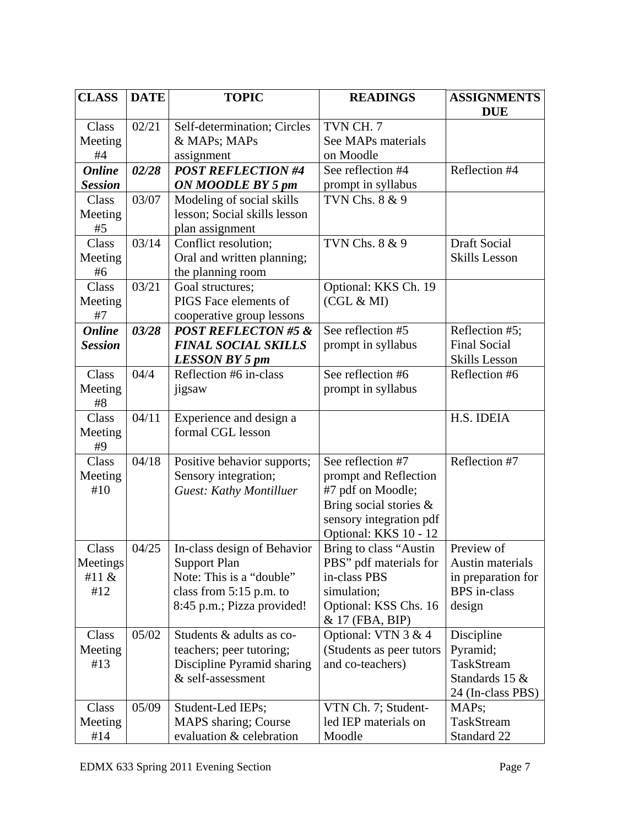| <b>CLASS</b>   | <b>DATE</b> | <b>TOPIC</b>                              | <b>READINGS</b>                            | <b>ASSIGNMENTS</b>   |
|----------------|-------------|-------------------------------------------|--------------------------------------------|----------------------|
|                |             |                                           |                                            | <b>DUE</b>           |
| Class          | 02/21       | Self-determination; Circles               | TVN CH. 7                                  |                      |
| Meeting        |             | & MAPs; MAPs                              | See MAPs materials                         |                      |
| #4             |             | assignment                                | on Moodle                                  |                      |
| <b>Online</b>  | 02/28       | <b>POST REFLECTION #4</b>                 | See reflection #4                          | Reflection #4        |
| <b>Session</b> |             | ON MOODLE BY 5 pm                         | prompt in syllabus                         |                      |
| Class          | 03/07       | Modeling of social skills                 | <b>TVN Chs. 8 &amp; 9</b>                  |                      |
| Meeting        |             | lesson; Social skills lesson              |                                            |                      |
| #5             |             | plan assignment                           |                                            |                      |
| Class          | 03/14       | Conflict resolution;                      | TVN Chs. 8 & 9                             | <b>Draft Social</b>  |
| Meeting        |             | Oral and written planning;                |                                            | <b>Skills Lesson</b> |
| #6<br>Class    | 03/21       | the planning room                         |                                            |                      |
|                |             | Goal structures;<br>PIGS Face elements of | Optional: KKS Ch. 19<br>(CGL & MI)         |                      |
| Meeting<br>#7  |             | cooperative group lessons                 |                                            |                      |
| <b>Online</b>  | 03/28       | <b>POST REFLECTON #5 &amp;</b>            | See reflection #5                          | Reflection #5;       |
| <b>Session</b> |             | <b>FINAL SOCIAL SKILLS</b>                | prompt in syllabus                         | <b>Final Social</b>  |
|                |             | LESSON BY 5 pm                            |                                            | Skills Lesson        |
| Class          | 04/4        | Reflection #6 in-class                    | See reflection #6                          | Reflection #6        |
| Meeting        |             | jigsaw                                    | prompt in syllabus                         |                      |
| #8             |             |                                           |                                            |                      |
| Class          | 04/11       | Experience and design a                   |                                            | H.S. IDEIA           |
| Meeting        |             | formal CGL lesson                         |                                            |                      |
| #9             |             |                                           |                                            |                      |
| Class          | 04/18       | Positive behavior supports;               | See reflection #7                          | Reflection #7        |
| Meeting        |             | Sensory integration;                      | prompt and Reflection                      |                      |
| #10            |             | <b>Guest: Kathy Montilluer</b>            | #7 pdf on Moodle;                          |                      |
|                |             |                                           | Bring social stories &                     |                      |
|                |             |                                           | sensory integration pdf                    |                      |
|                |             |                                           | Optional: KKS 10 - 12                      |                      |
| Class          | 04/25       | In-class design of Behavior               | Bring to class "Austin                     | Preview of           |
| Meetings       |             | <b>Support Plan</b>                       | PBS" pdf materials for                     | Austin materials     |
| #11 &          |             | Note: This is a "double"                  | in-class PBS                               | in preparation for   |
| #12            |             | class from $5:15$ p.m. to                 | simulation;                                | <b>BPS</b> in-class  |
|                |             | 8:45 p.m.; Pizza provided!                | Optional: KSS Chs. 16<br>$& 17$ (FBA, BIP) | design               |
| Class          | 05/02       | Students & adults as co-                  | Optional: VTN $3 & 4$                      | Discipline           |
| Meeting        |             | teachers; peer tutoring;                  | (Students as peer tutors                   | Pyramid;             |
| #13            |             | Discipline Pyramid sharing                | and co-teachers)                           | TaskStream           |
|                |             | & self-assessment                         |                                            | Standards 15 &       |
|                |             |                                           |                                            | 24 (In-class PBS)    |
| Class          | 05/09       | Student-Led IEPs;                         | VTN Ch. 7; Student-                        | MAP <sub>s</sub> ;   |
| Meeting        |             | MAPS sharing; Course                      | led IEP materials on                       | TaskStream           |
| #14            |             | evaluation & celebration                  | Moodle                                     | Standard 22          |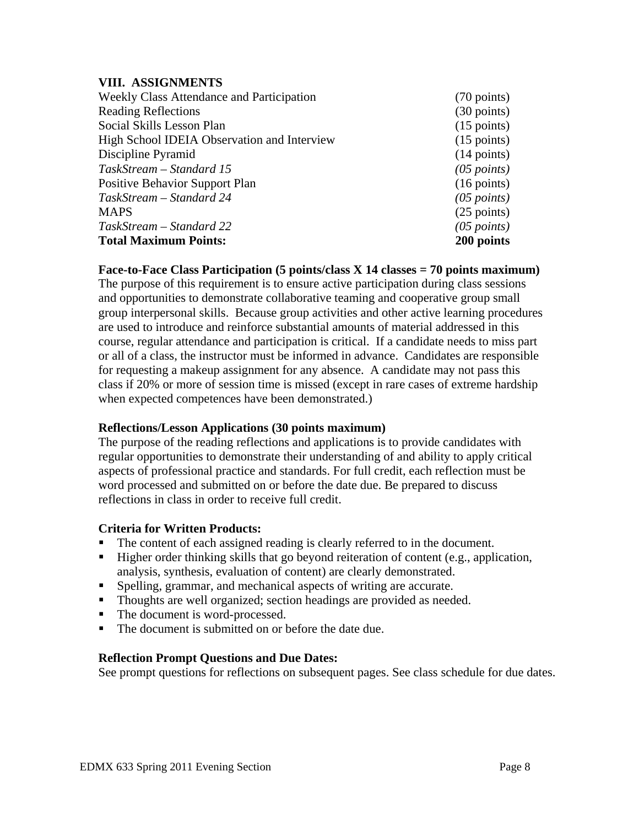#### **VIII. ASSIGNMENTS**

| Weekly Class Attendance and Participation   | $(70 \text{ points})$ |
|---------------------------------------------|-----------------------|
| <b>Reading Reflections</b>                  | $(30 \text{ points})$ |
| Social Skills Lesson Plan                   | $(15 \text{ points})$ |
| High School IDEIA Observation and Interview | $(15 \text{ points})$ |
| Discipline Pyramid                          | $(14$ points)         |
| TaskStream – Standard 15                    | $(05$ points)         |
| <b>Positive Behavior Support Plan</b>       | $(16 \text{ points})$ |
| TaskStream – Standard 24                    | $(05$ points)         |
| <b>MAPS</b>                                 | $(25$ points)         |
| TaskStream – Standard 22                    | $(05$ points)         |
| <b>Total Maximum Points:</b>                | 200 points            |

**Face-to-Face Class Participation (5 points/class X 14 classes = 70 points maximum)** 

The purpose of this requirement is to ensure active participation during class sessions and opportunities to demonstrate collaborative teaming and cooperative group small group interpersonal skills. Because group activities and other active learning procedures are used to introduce and reinforce substantial amounts of material addressed in this course, regular attendance and participation is critical. If a candidate needs to miss part or all of a class, the instructor must be informed in advance. Candidates are responsible for requesting a makeup assignment for any absence. A candidate may not pass this class if 20% or more of session time is missed (except in rare cases of extreme hardship when expected competences have been demonstrated.)

### **Reflections/Lesson Applications (30 points maximum)**

The purpose of the reading reflections and applications is to provide candidates with regular opportunities to demonstrate their understanding of and ability to apply critical aspects of professional practice and standards. For full credit, each reflection must be word processed and submitted on or before the date due. Be prepared to discuss reflections in class in order to receive full credit.

### **Criteria for Written Products:**

- The content of each assigned reading is clearly referred to in the document.
- Higher order thinking skills that go beyond reiteration of content (e.g., application, analysis, synthesis, evaluation of content) are clearly demonstrated.
- Spelling, grammar, and mechanical aspects of writing are accurate.
- Thoughts are well organized; section headings are provided as needed.
- The document is word-processed.
- The document is submitted on or before the date due.

#### **Reflection Prompt Questions and Due Dates:**

See prompt questions for reflections on subsequent pages. See class schedule for due dates.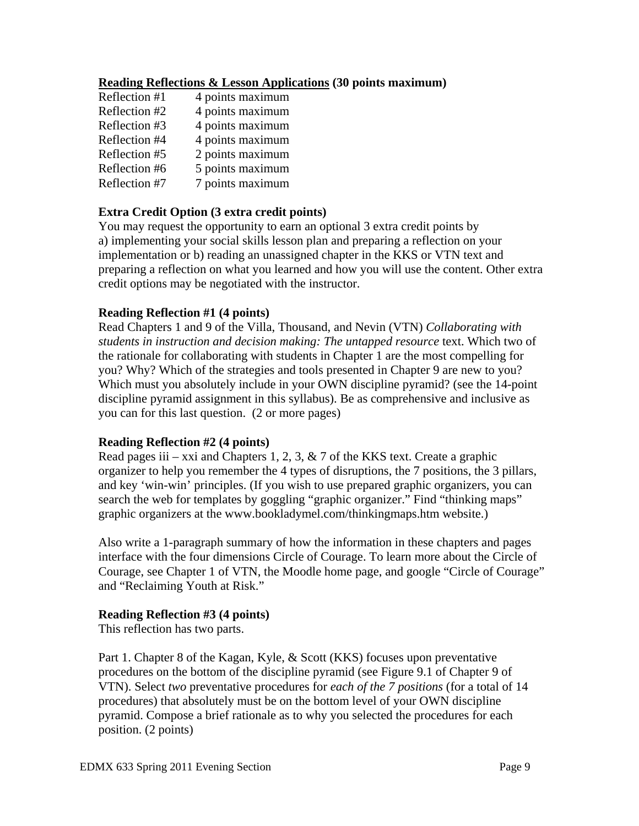#### **Reading Reflections & Lesson Applications (30 points maximum)**

| Reflection #1 | 4 points maximum |
|---------------|------------------|
| Reflection #2 | 4 points maximum |
| Reflection #3 | 4 points maximum |
| Reflection #4 | 4 points maximum |
| Reflection #5 | 2 points maximum |
| Reflection #6 | 5 points maximum |
| Reflection #7 | 7 points maximum |

### **Extra Credit Option (3 extra credit points)**

You may request the opportunity to earn an optional 3 extra credit points by a) implementing your social skills lesson plan and preparing a reflection on your implementation or b) reading an unassigned chapter in the KKS or VTN text and preparing a reflection on what you learned and how you will use the content. Other extra credit options may be negotiated with the instructor.

#### **Reading Reflection #1 (4 points)**

Read Chapters 1 and 9 of the Villa, Thousand, and Nevin (VTN) *Collaborating with students in instruction and decision making: The untapped resource* text. Which two of the rationale for collaborating with students in Chapter 1 are the most compelling for you? Why? Which of the strategies and tools presented in Chapter 9 are new to you? Which must you absolutely include in your OWN discipline pyramid? (see the 14-point discipline pyramid assignment in this syllabus). Be as comprehensive and inclusive as you can for this last question. (2 or more pages)

#### **Reading Reflection #2 (4 points)**

Read pages iii – xxi and Chapters 1, 2, 3,  $\&$  7 of the KKS text. Create a graphic organizer to help you remember the 4 types of disruptions, the 7 positions, the 3 pillars, and key 'win-win' principles. (If you wish to use prepared graphic organizers, you can search the web for templates by goggling "graphic organizer." Find "thinking maps" graphic organizers at the www.bookladymel.com/thinkingmaps.htm website.)

Also write a 1-paragraph summary of how the information in these chapters and pages interface with the four dimensions Circle of Courage. To learn more about the Circle of Courage, see Chapter 1 of VTN, the Moodle home page, and google "Circle of Courage" and "Reclaiming Youth at Risk."

#### **Reading Reflection #3 (4 points)**

This reflection has two parts.

Part 1. Chapter 8 of the Kagan, Kyle, & Scott (KKS) focuses upon preventative procedures on the bottom of the discipline pyramid (see Figure 9.1 of Chapter 9 of VTN). Select *two* preventative procedures for *each of the 7 positions* (for a total of 14 procedures) that absolutely must be on the bottom level of your OWN discipline pyramid. Compose a brief rationale as to why you selected the procedures for each position. (2 points)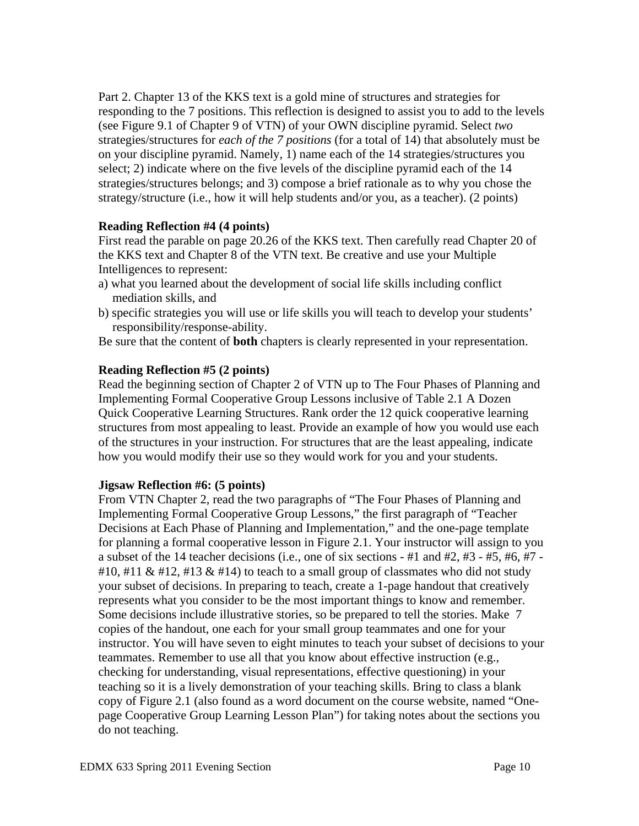Part 2. Chapter 13 of the KKS text is a gold mine of structures and strategies for responding to the 7 positions. This reflection is designed to assist you to add to the levels (see Figure 9.1 of Chapter 9 of VTN) of your OWN discipline pyramid. Select *two*  strategies/structures for *each of the 7 positions* (for a total of 14) that absolutely must be on your discipline pyramid. Namely, 1) name each of the 14 strategies/structures you select; 2) indicate where on the five levels of the discipline pyramid each of the 14 strategies/structures belongs; and 3) compose a brief rationale as to why you chose the strategy/structure (i.e., how it will help students and/or you, as a teacher). (2 points)

### **Reading Reflection #4 (4 points)**

First read the parable on page 20.26 of the KKS text. Then carefully read Chapter 20 of the KKS text and Chapter 8 of the VTN text. Be creative and use your Multiple Intelligences to represent:

- a) what you learned about the development of social life skills including conflict mediation skills, and
- b) specific strategies you will use or life skills you will teach to develop your students' responsibility/response-ability.

Be sure that the content of **both** chapters is clearly represented in your representation.

#### **Reading Reflection #5 (2 points)**

Read the beginning section of Chapter 2 of VTN up to The Four Phases of Planning and Implementing Formal Cooperative Group Lessons inclusive of Table 2.1 A Dozen Quick Cooperative Learning Structures. Rank order the 12 quick cooperative learning structures from most appealing to least. Provide an example of how you would use each of the structures in your instruction. For structures that are the least appealing, indicate how you would modify their use so they would work for you and your students.

### **Jigsaw Reflection #6: (5 points)**

From VTN Chapter 2, read the two paragraphs of "The Four Phases of Planning and Implementing Formal Cooperative Group Lessons," the first paragraph of "Teacher Decisions at Each Phase of Planning and Implementation," and the one-page template for planning a formal cooperative lesson in Figure 2.1. Your instructor will assign to you a subset of the 14 teacher decisions (i.e., one of six sections  $-#1$  and  $#2, #3 - #5, #6, #7 -$ #10, #11 & #12, #13 & #14) to teach to a small group of classmates who did not study your subset of decisions. In preparing to teach, create a 1-page handout that creatively represents what you consider to be the most important things to know and remember. Some decisions include illustrative stories, so be prepared to tell the stories. Make 7 copies of the handout, one each for your small group teammates and one for your instructor. You will have seven to eight minutes to teach your subset of decisions to your teammates. Remember to use all that you know about effective instruction (e.g., checking for understanding, visual representations, effective questioning) in your teaching so it is a lively demonstration of your teaching skills. Bring to class a blank copy of Figure 2.1 (also found as a word document on the course website, named "Onepage Cooperative Group Learning Lesson Plan") for taking notes about the sections you do not teaching.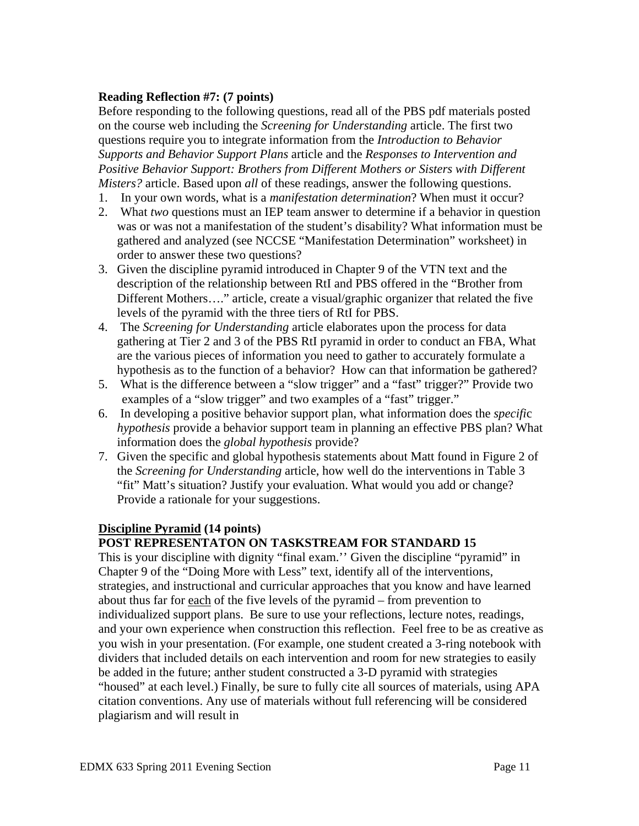### **Reading Reflection #7: (7 points)**

Before responding to the following questions, read all of the PBS pdf materials posted on the course web including the *Screening for Understanding* article. The first two questions require you to integrate information from the *Introduction to Behavior Supports and Behavior Support Plans* article and the *Responses to Intervention and Positive Behavior Support: Brothers from Different Mothers or Sisters with Different Misters?* article. Based upon *all* of these readings, answer the following questions.

- 1. In your own words, what is a *manifestation determination*? When must it occur?
- 2. What *two* questions must an IEP team answer to determine if a behavior in question was or was not a manifestation of the student's disability? What information must be gathered and analyzed (see NCCSE "Manifestation Determination" worksheet) in order to answer these two questions?
- 3. Given the discipline pyramid introduced in Chapter 9 of the VTN text and the description of the relationship between RtI and PBS offered in the "Brother from Different Mothers…." article, create a visual/graphic organizer that related the five levels of the pyramid with the three tiers of RtI for PBS.
- 4. The *Screening for Understanding* article elaborates upon the process for data gathering at Tier 2 and 3 of the PBS RtI pyramid in order to conduct an FBA, What are the various pieces of information you need to gather to accurately formulate a hypothesis as to the function of a behavior? How can that information be gathered?
- 5. What is the difference between a "slow trigger" and a "fast" trigger?" Provide two examples of a "slow trigger" and two examples of a "fast" trigger."
- 6. In developing a positive behavior support plan, what information does the *specifi*c *hypothesis* provide a behavior support team in planning an effective PBS plan? What information does the *global hypothesis* provide?
- 7. Given the specific and global hypothesis statements about Matt found in Figure 2 of the *Screening for Understanding* article, how well do the interventions in Table 3 "fit" Matt's situation? Justify your evaluation. What would you add or change? Provide a rationale for your suggestions.

### **Discipline Pyramid (14 points)**

## **POST REPRESENTATON ON TASKSTREAM FOR STANDARD 15**

This is your discipline with dignity "final exam.'' Given the discipline "pyramid" in Chapter 9 of the "Doing More with Less" text, identify all of the interventions, strategies, and instructional and curricular approaches that you know and have learned about thus far for each of the five levels of the pyramid – from prevention to individualized support plans. Be sure to use your reflections, lecture notes, readings, and your own experience when construction this reflection. Feel free to be as creative as you wish in your presentation. (For example, one student created a 3-ring notebook with dividers that included details on each intervention and room for new strategies to easily be added in the future; anther student constructed a 3-D pyramid with strategies "housed" at each level.) Finally, be sure to fully cite all sources of materials, using APA citation conventions. Any use of materials without full referencing will be considered plagiarism and will result in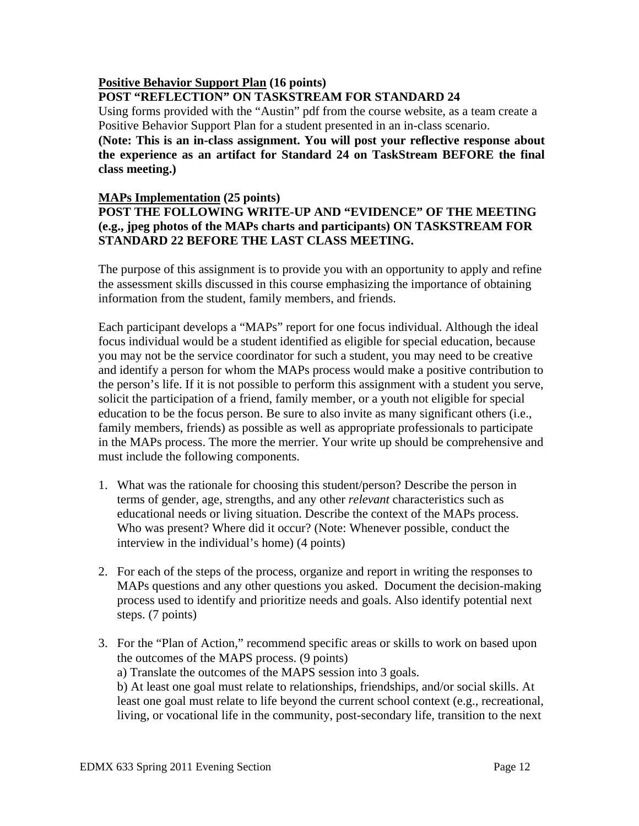#### **Positive Behavior Support Plan (16 points) POST "REFLECTION" ON TASKSTREAM FOR STANDARD 24**

Using forms provided with the "Austin" pdf from the course website, as a team create a Positive Behavior Support Plan for a student presented in an in-class scenario. **(Note: This is an in-class assignment. You will post your reflective response about the experience as an artifact for Standard 24 on TaskStream BEFORE the final class meeting.)** 

#### **MAPs Implementation (25 points)**

### **POST THE FOLLOWING WRITE-UP AND "EVIDENCE" OF THE MEETING (e.g., jpeg photos of the MAPs charts and participants) ON TASKSTREAM FOR STANDARD 22 BEFORE THE LAST CLASS MEETING.**

The purpose of this assignment is to provide you with an opportunity to apply and refine the assessment skills discussed in this course emphasizing the importance of obtaining information from the student, family members, and friends.

Each participant develops a "MAPs" report for one focus individual. Although the ideal focus individual would be a student identified as eligible for special education, because you may not be the service coordinator for such a student, you may need to be creative and identify a person for whom the MAPs process would make a positive contribution to the person's life. If it is not possible to perform this assignment with a student you serve, solicit the participation of a friend, family member, or a youth not eligible for special education to be the focus person. Be sure to also invite as many significant others (i.e., family members, friends) as possible as well as appropriate professionals to participate in the MAPs process. The more the merrier. Your write up should be comprehensive and must include the following components.

- 1. What was the rationale for choosing this student/person? Describe the person in terms of gender, age, strengths, and any other *relevant* characteristics such as educational needs or living situation. Describe the context of the MAPs process. Who was present? Where did it occur? (Note: Whenever possible, conduct the interview in the individual's home) (4 points)
- 2. For each of the steps of the process, organize and report in writing the responses to MAPs questions and any other questions you asked. Document the decision-making process used to identify and prioritize needs and goals. Also identify potential next steps. (7 points)
- 3. For the "Plan of Action," recommend specific areas or skills to work on based upon the outcomes of the MAPS process. (9 points)

a) Translate the outcomes of the MAPS session into 3 goals.

b) At least one goal must relate to relationships, friendships, and/or social skills. At least one goal must relate to life beyond the current school context (e.g., recreational, living, or vocational life in the community, post-secondary life, transition to the next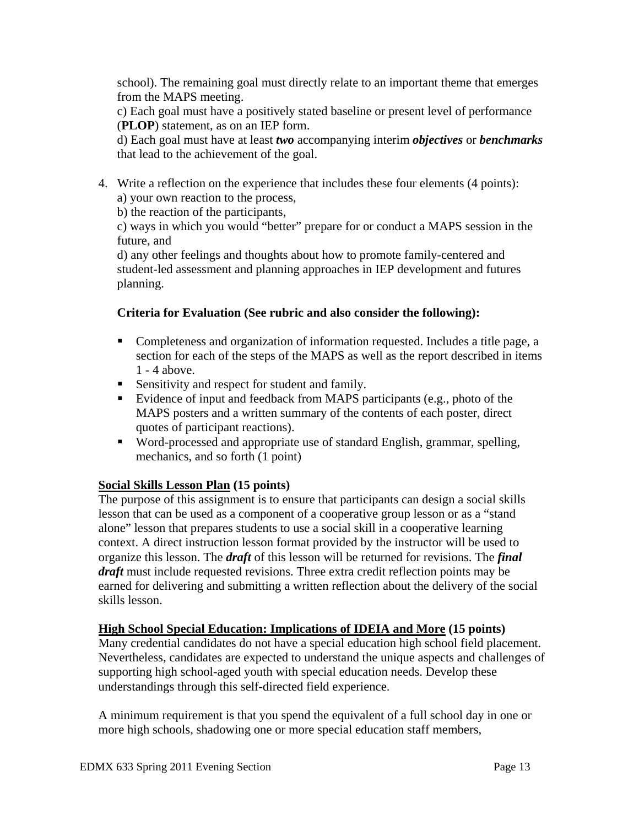school). The remaining goal must directly relate to an important theme that emerges from the MAPS meeting.

c) Each goal must have a positively stated baseline or present level of performance (**PLOP**) statement, as on an IEP form.

d) Each goal must have at least *two* accompanying interim *objectives* or *benchmarks* that lead to the achievement of the goal.

4. Write a reflection on the experience that includes these four elements (4 points): a) your own reaction to the process,

b) the reaction of the participants,

c) ways in which you would "better" prepare for or conduct a MAPS session in the future, and

d) any other feelings and thoughts about how to promote family-centered and student-led assessment and planning approaches in IEP development and futures planning.

## **Criteria for Evaluation (See rubric and also consider the following):**

- **Completeness and organization of information requested. Includes a title page, a** section for each of the steps of the MAPS as well as the report described in items 1 - 4 above.
- Sensitivity and respect for student and family.
- Evidence of input and feedback from MAPS participants (e.g., photo of the MAPS posters and a written summary of the contents of each poster, direct quotes of participant reactions).
- Word-processed and appropriate use of standard English, grammar, spelling, mechanics, and so forth (1 point)

## **Social Skills Lesson Plan (15 points)**

 skills lesson. The purpose of this assignment is to ensure that participants can design a social skills lesson that can be used as a component of a cooperative group lesson or as a "stand alone" lesson that prepares students to use a social skill in a cooperative learning context. A direct instruction lesson format provided by the instructor will be used to organize this lesson. The *draft* of this lesson will be returned for revisions. The *final draft* must include requested revisions. Three extra credit reflection points may be earned for delivering and submitting a written reflection about the delivery of the social

## **High School Special Education: Implications of IDEIA and More (15 points)**

Many credential candidates do not have a special education high school field placement. Nevertheless, candidates are expected to understand the unique aspects and challenges of supporting high school-aged youth with special education needs. Develop these understandings through this self-directed field experience.

A minimum requirement is that you spend the equivalent of a full school day in one or more high schools, shadowing one or more special education staff members,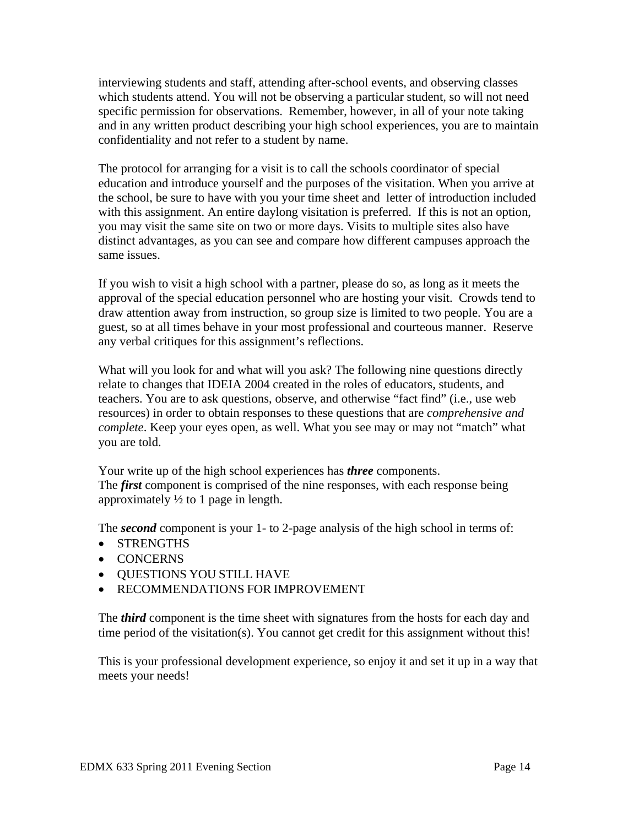interviewing students and staff, attending after-school events, and observing classes which students attend. You will not be observing a particular student, so will not need specific permission for observations. Remember, however, in all of your note taking and in any written product describing your high school experiences, you are to maintain confidentiality and not refer to a student by name.

The protocol for arranging for a visit is to call the schools coordinator of special education and introduce yourself and the purposes of the visitation. When you arrive at the school, be sure to have with you your time sheet and letter of introduction included with this assignment. An entire daylong visitation is preferred. If this is not an option, you may visit the same site on two or more days. Visits to multiple sites also have distinct advantages, as you can see and compare how different campuses approach the same issues.

If you wish to visit a high school with a partner, please do so, as long as it meets the approval of the special education personnel who are hosting your visit. Crowds tend to draw attention away from instruction, so group size is limited to two people. You are a guest, so at all times behave in your most professional and courteous manner. Reserve any verbal critiques for this assignment's reflections.

What will you look for and what will you ask? The following nine questions directly relate to changes that IDEIA 2004 created in the roles of educators, students, and teachers. You are to ask questions, observe, and otherwise "fact find" (i.e., use web resources) in order to obtain responses to these questions that are *comprehensive and complete*. Keep your eyes open, as well. What you see may or may not "match" what you are told.

Your write up of the high school experiences has *three* components. The *first* component is comprised of the nine responses, with each response being approximately  $\frac{1}{2}$  to 1 page in length.

The *second* component is your 1- to 2-page analysis of the high school in terms of:

- STRENGTHS
- CONCERNS
- QUESTIONS YOU STILL HAVE
- RECOMMENDATIONS FOR IMPROVEMENT

The *third* component is the time sheet with signatures from the hosts for each day and time period of the visitation(s). You cannot get credit for this assignment without this!

This is your professional development experience, so enjoy it and set it up in a way that meets your needs!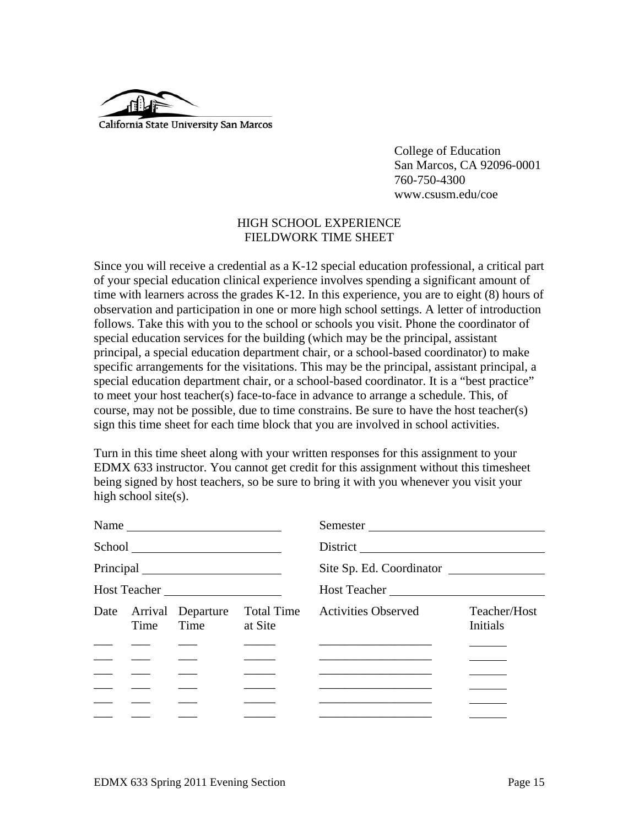

 College of Education San Marcos, CA 92096-0001 760-750-4300 www.csusm.edu/coe

#### HIGH SCHOOL EXPERIENCE FIELDWORK TIME SHEET

Since you will receive a credential as a K-12 special education professional, a critical part of your special education clinical experience involves spending a significant amount of time with learners across the grades K-12. In this experience, you are to eight (8) hours of observation and participation in one or more high school settings. A letter of introduction follows. Take this with you to the school or schools you visit. Phone the coordinator of special education services for the building (which may be the principal, assistant principal, a special education department chair, or a school-based coordinator) to make specific arrangements for the visitations. This may be the principal, assistant principal, a special education department chair, or a school-based coordinator. It is a "best practice" to meet your host teacher(s) face-to-face in advance to arrange a schedule. This, of course, may not be possible, due to time constrains. Be sure to have the host teacher(s) sign this time sheet for each time block that you are involved in school activities.

Turn in this time sheet along with your written responses for this assignment to your EDMX 633 instructor. You cannot get credit for this assignment without this timesheet being signed by host teachers, so be sure to bring it with you whenever you visit your high school site(s).

|                                                   |      | Name $\frac{1}{\sqrt{1-\frac{1}{2}}\left\vert \frac{1}{2}\right\vert +1}$ |            | Semester                                                                                                               |                          |  |
|---------------------------------------------------|------|---------------------------------------------------------------------------|------------|------------------------------------------------------------------------------------------------------------------------|--------------------------|--|
|                                                   |      |                                                                           |            |                                                                                                                        |                          |  |
|                                                   |      |                                                                           |            | Site Sp. Ed. Coordinator                                                                                               |                          |  |
| Host Teacher                                      |      |                                                                           |            | Host Teacher                                                                                                           |                          |  |
|                                                   | Time | Date Arrival Departure<br>Time at Site                                    | Total Time | <b>Activities Observed</b>                                                                                             | Teacher/Host<br>Initials |  |
|                                                   |      |                                                                           |            |                                                                                                                        |                          |  |
| $\frac{1}{2}$ and $\frac{1}{2}$ and $\frac{1}{2}$ |      |                                                                           |            | <u> 1989 - Johann John Stone, markin fan it ferskearre fan it ferskearre fan it ferskearre fan it ferskearre fan i</u> |                          |  |
|                                                   |      |                                                                           |            | <u> 1989 - Johann Harry Harry Harry Harry Harry Harry Harry Harry Harry Harry Harry Harry Harry Harry Harry Harry</u>  |                          |  |
|                                                   |      |                                                                           |            |                                                                                                                        |                          |  |
|                                                   |      |                                                                           |            | <u> 1989 - Johann John Stein, markin fan it ferstjer fan it ferstjer fan it ferstjer fan it ferstjer fan it fers</u>   |                          |  |
|                                                   |      |                                                                           |            |                                                                                                                        |                          |  |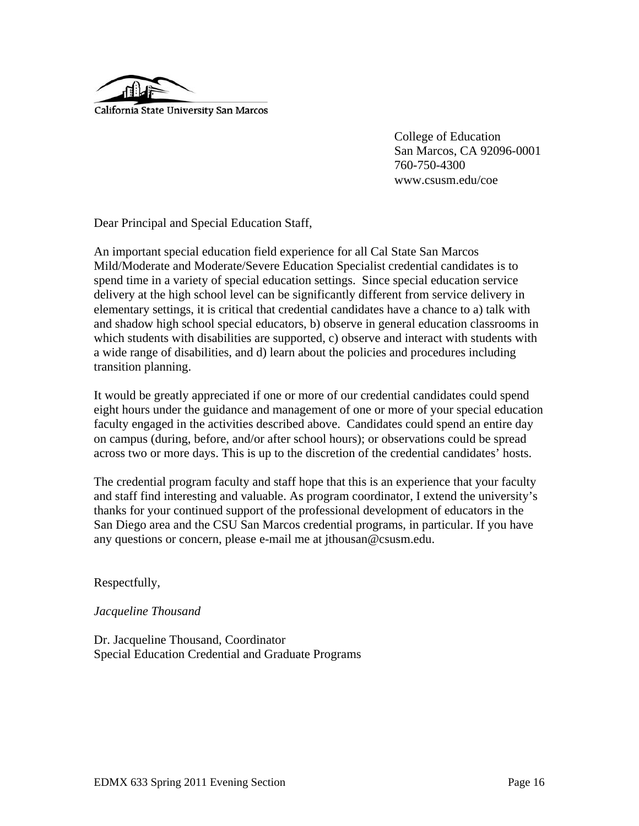

 College of Education San Marcos, CA 92096-0001 760-750-4300 www.csusm.edu/coe

Dear Principal and Special Education Staff,

An important special education field experience for all Cal State San Marcos Mild/Moderate and Moderate/Severe Education Specialist credential candidates is to spend time in a variety of special education settings. Since special education service delivery at the high school level can be significantly different from service delivery in elementary settings, it is critical that credential candidates have a chance to a) talk with and shadow high school special educators, b) observe in general education classrooms in which students with disabilities are supported, c) observe and interact with students with a wide range of disabilities, and d) learn about the policies and procedures including transition planning.

It would be greatly appreciated if one or more of our credential candidates could spend eight hours under the guidance and management of one or more of your special education faculty engaged in the activities described above. Candidates could spend an entire day on campus (during, before, and/or after school hours); or observations could be spread across two or more days. This is up to the discretion of the credential candidates' hosts.

The credential program faculty and staff hope that this is an experience that your faculty and staff find interesting and valuable. As program coordinator, I extend the university's thanks for your continued support of the professional development of educators in the San Diego area and the CSU San Marcos credential programs, in particular. If you have any questions or concern, please e-mail me at jthousan@csusm.edu.

Respectfully,

#### *Jacqueline Thousand*

Dr. Jacqueline Thousand, Coordinator Special Education Credential and Graduate Programs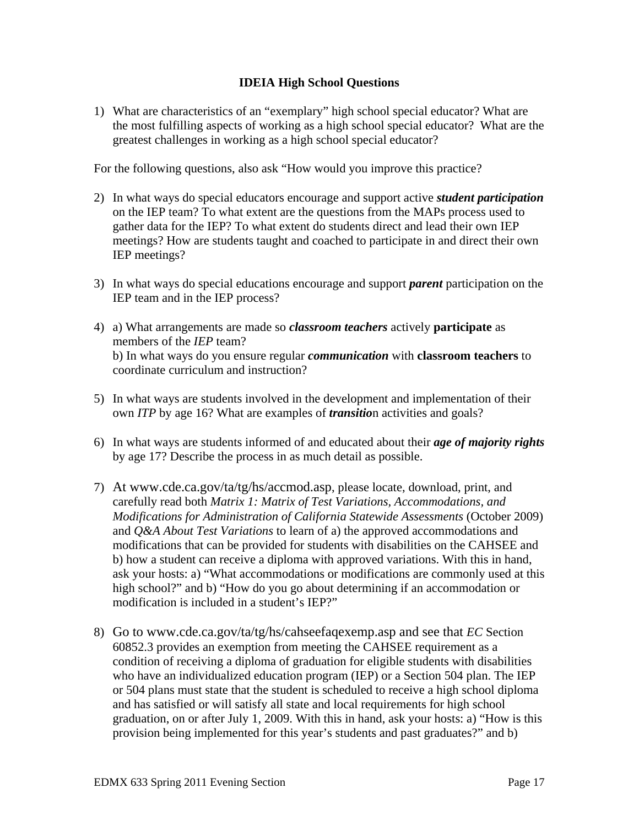### **IDEIA High School Questions**

greatest challenges in working as a high school special educator? 1) What are characteristics of an "exemplary" high school special educator? What are the most fulfilling aspects of working as a high school special educator? What are the

For the following questions, also ask "How would you improve this practice?

- 2) In what ways do special educators encourage and support active *student participation* on the IEP team? To what extent are the questions from the MAPs process used to gather data for the IEP? To what extent do students direct and lead their own IEP meetings? How are students taught and coached to participate in and direct their own IEP meetings?
- IEP team and in the IEP process? 3) In what ways do special educations encourage and support *parent* participation on the
- 4) a) What arrangements are made so *classroom teachers* actively **participate** as members of the *IEP* team? b) In what ways do you ensure regular *communication* with **classroom teachers** to coordinate curriculum and instruction?
- 5) In what ways are students involved in the development and implementation of their own *ITP* by age 16? What are examples of *transitio*n activities and goals?
- 6) In what ways are students informed of and educated about their *age of majority rights*  by age 17? Describe the process in as much detail as possible.
- 7) At www.cde.ca.gov/ta/tg/hs/accmod.asp, please locate, download, print, and carefully read both *Matrix 1: Matrix of Test Variations, Accommodations, and Modifications for Administration of California Statewide Assessments* (October 2009) and *Q&A About Test Variations* to learn of a) the approved accommodations and modifications that can be provided for students with disabilities on the CAHSEE and b) how a student can receive a diploma with approved variations. With this in hand, ask your hosts: a) "What accommodations or modifications are commonly used at this high school?" and b) "How do you go about determining if an accommodation or modification is included in a student's IEP?"
- 8) Go to www.cde.ca.gov/ta/tg/hs/cahseefaqexemp.asp and see that *EC* Section 60852.3 provides an exemption from meeting the CAHSEE requirement as a condition of receiving a diploma of graduation for eligible students with disabilities who have an individualized education program (IEP) or a Section 504 plan. The IEP or 504 plans must state that the student is scheduled to receive a high school diploma and has satisfied or will satisfy all state and local requirements for high school graduation, on or after July 1, 2009. With this in hand, ask your hosts: a) "How is this provision being implemented for this year's students and past graduates?" and b)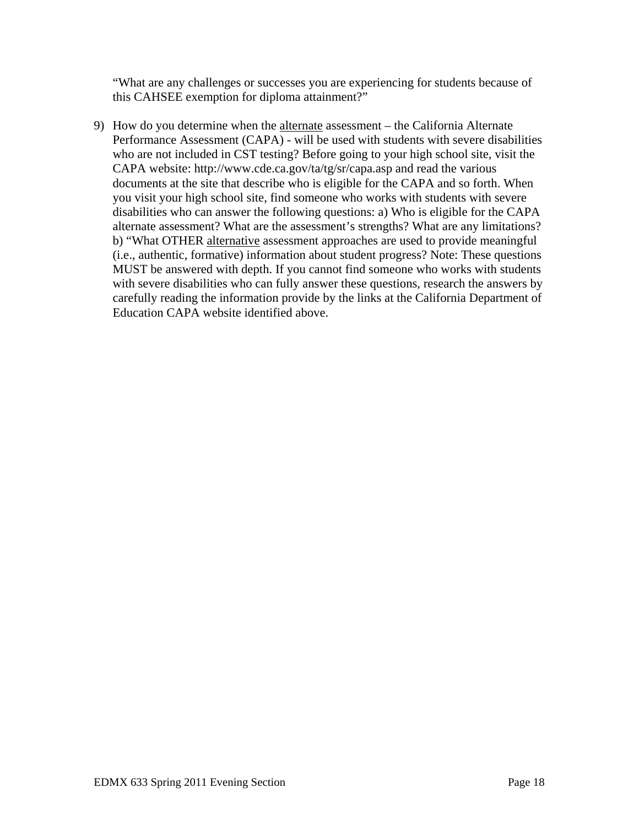"What are any challenges or successes you are experiencing for students because of this CAHSEE exemption for diploma attainment?"

9) How do you determine when the alternate assessment – the California Alternate Performance Assessment (CAPA) - will be used with students with severe disabilities who are not included in CST testing? Before going to your high school site, visit the CAPA website: http://www.cde.ca.gov/ta/tg/sr/capa.asp and read the various documents at the site that describe who is eligible for the CAPA and so forth. When you visit your high school site, find someone who works with students with severe disabilities who can answer the following questions: a) Who is eligible for the CAPA alternate assessment? What are the assessment's strengths? What are any limitations? b) "What OTHER alternative assessment approaches are used to provide meaningful (i.e., authentic, formative) information about student progress? Note: These questions MUST be answered with depth. If you cannot find someone who works with students with severe disabilities who can fully answer these questions, research the answers by carefully reading the information provide by the links at the California Department of Education CAPA website identified above.